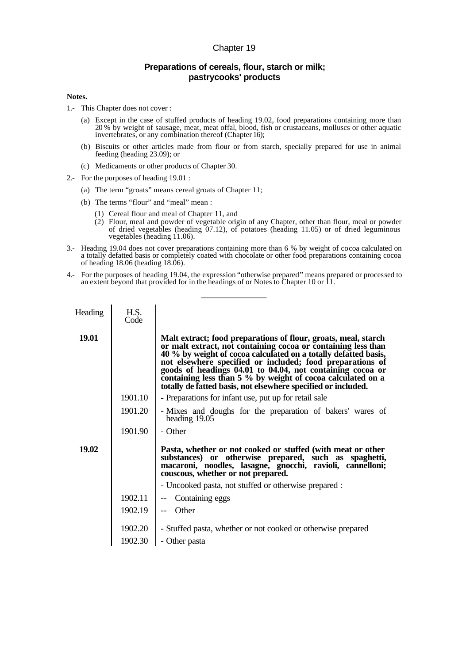## Chapter 19

## **Preparations of cereals, flour, starch or milk; pastrycooks' products**

## **Notes.**

- 1.- This Chapter does not cover :
	- (a) Except in the case of stuffed products of heading 19.02, food preparations containing more than 20 % by weight of sausage, meat, meat offal, blood, fish or crustaceans, molluscs or other aquatic invertebrates, or any combination thereof (Chapter 16);
	- (b) Biscuits or other articles made from flour or from starch, specially prepared for use in animal feeding (heading 23.09); or
	- (c) Medicaments or other products of Chapter 30.
- 2.- For the purposes of heading 19.01 :
	- (a) The term "groats" means cereal groats of Chapter 11;
	- (b) The terms "flour" and "meal" mean :
		- (1) Cereal flour and meal of Chapter 11, and
		- $(2)$  Flour, meal and powder of vegetable origin of any Chapter, other than flour, meal or powder of dried vegetables (heading 07.12), of potatoes (heading 11.05) or of dried leguminous vegetables (heading 11.06).
- 3.- Heading 19.04 does not cover preparations containing more than 6 % by weight of cocoa calculated on a totally defatted basis or completely coated with chocolate or other food preparations containing cocoa of heading  $18.06$  (heading  $18.06$ ).
- 4.- For the purposes of heading 19.04, the expression "otherwise prepared" means prepared or processed to an extent beyond that provided for in the headings of or Notes to Chapter 10 or 11.

\_\_\_\_\_\_\_\_\_\_\_\_\_\_\_\_\_

| Heading | H.S.<br>Code       |                                                                                                                                                                                                                                                                                                                                                                                                                                                           |
|---------|--------------------|-----------------------------------------------------------------------------------------------------------------------------------------------------------------------------------------------------------------------------------------------------------------------------------------------------------------------------------------------------------------------------------------------------------------------------------------------------------|
| 19.01   |                    | Malt extract; food preparations of flour, groats, meal, starch<br>or malt extract, not containing cocoa or containing less than<br>40 % by weight of cocoa calculated on a totally defatted basis,<br>not elsewhere specified or included; food preparations of<br>goods of headings 04.01 to 04.04, not containing cocoa or containing less than 5 % by weight of cocoa calculated on a<br>totally de fatted basis, not elsewhere specified or included. |
|         | 1901.10            | - Preparations for infant use, put up for retail sale                                                                                                                                                                                                                                                                                                                                                                                                     |
|         | 1901.20            | - Mixes and doughs for the preparation of bakers' wares of<br>heading 19.05                                                                                                                                                                                                                                                                                                                                                                               |
|         | 1901.90            | - Other                                                                                                                                                                                                                                                                                                                                                                                                                                                   |
| 19.02   |                    | Pasta, whether or not cooked or stuffed (with meat or other<br>substances) or otherwise prepared, such as spaghetti,<br>macaroni, noodles, lasagne, gnocchi, ravioli, cannelloni;<br>couscous, whether or not prepared.                                                                                                                                                                                                                                   |
|         |                    | - Uncooked pasta, not stuffed or otherwise prepared :                                                                                                                                                                                                                                                                                                                                                                                                     |
|         | 1902.11            | Containing eggs                                                                                                                                                                                                                                                                                                                                                                                                                                           |
|         | 1902.19            | Other                                                                                                                                                                                                                                                                                                                                                                                                                                                     |
|         | 1902.20<br>1902.30 | - Stuffed pasta, whether or not cooked or otherwise prepared<br>- Other pasta                                                                                                                                                                                                                                                                                                                                                                             |